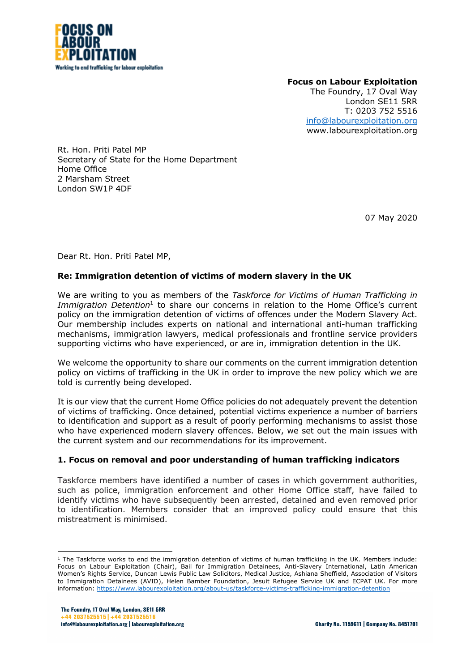

**Focus on Labour Exploitation** The Foundry, 17 Oval Way London SE11 5RR T: 0203 752 5516 info@labourexploitation.org www.labourexploitation.org

Rt. Hon. Priti Patel MP Secretary of State for the Home Department Home Office 2 Marsham Street London SW1P 4DF

07 May 2020

Dear Rt. Hon. Priti Patel MP,

# **Re: Immigration detention of victims of modern slavery in the UK**

We are writing to you as members of the *Taskforce for Victims of Human Trafficking in Immigration Detention*<sup>1</sup> to share our concerns in relation to the Home Office's current policy on the immigration detention of victims of offences under the Modern Slavery Act. Our membership includes experts on national and international anti-human trafficking mechanisms, immigration lawyers, medical professionals and frontline service providers supporting victims who have experienced, or are in, immigration detention in the UK.

We welcome the opportunity to share our comments on the current immigration detention policy on victims of trafficking in the UK in order to improve the new policy which we are told is currently being developed.

It is our view that the current Home Office policies do not adequately prevent the detention of victims of trafficking. Once detained, potential victims experience a number of barriers to identification and support as a result of poorly performing mechanisms to assist those who have experienced modern slavery offences. Below, we set out the main issues with the current system and our recommendations for its improvement.

# **1. Focus on removal and poor understanding of human trafficking indicators**

Taskforce members have identified a number of cases in which government authorities, such as police, immigration enforcement and other Home Office staff, have failed to identify victims who have subsequently been arrested, detained and even removed prior to identification. Members consider that an improved policy could ensure that this mistreatment is minimised.

 $1$  The Taskforce works to end the immigration detention of victims of human trafficking in the UK. Members include: Focus on Labour Exploitation (Chair), Bail for Immigration Detainees, Anti-Slavery International, Latin American Women's Rights Service, Duncan Lewis Public Law Solicitors, Medical Justice, Ashiana Sheffield, Association of Visitors to Immigration Detainees (AVID), Helen Bamber Foundation, Jesuit Refugee Service UK and ECPAT UK. For more information: https://www.labourexploitation.org/about-us/taskforce-victims-trafficking-immigration-detention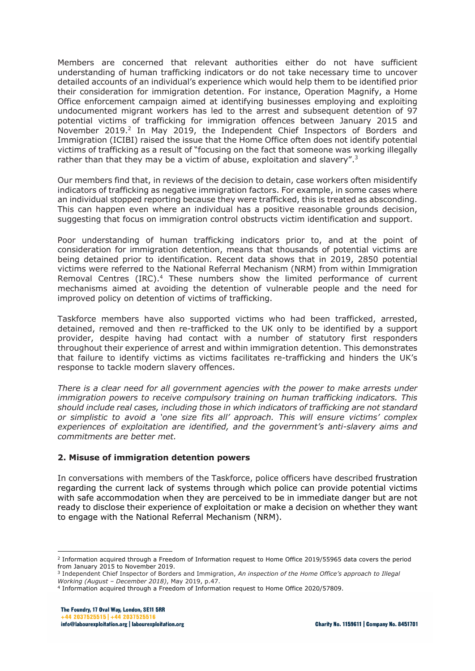Members are concerned that relevant authorities either do not have sufficient understanding of human trafficking indicators or do not take necessary time to uncover detailed accounts of an individual's experience which would help them to be identified prior their consideration for immigration detention. For instance, Operation Magnify, a Home Office enforcement campaign aimed at identifying businesses employing and exploiting undocumented migrant workers has led to the arrest and subsequent detention of 97 potential victims of trafficking for immigration offences between January 2015 and November 2019.<sup>2</sup> In May 2019, the Independent Chief Inspectors of Borders and Immigration (ICIBI) raised the issue that the Home Office often does not identify potential victims of trafficking as a result of "focusing on the fact that someone was working illegally rather than that they may be a victim of abuse, exploitation and slavery".<sup>3</sup>

Our members find that, in reviews of the decision to detain, case workers often misidentify indicators of trafficking as negative immigration factors. For example, in some cases where an individual stopped reporting because they were trafficked, this is treated as absconding. This can happen even where an individual has a positive reasonable grounds decision, suggesting that focus on immigration control obstructs victim identification and support.

Poor understanding of human trafficking indicators prior to, and at the point of consideration for immigration detention, means that thousands of potential victims are being detained prior to identification. Recent data shows that in 2019, 2850 potential victims were referred to the National Referral Mechanism (NRM) from within Immigration Removal Centres (IRC).<sup>4</sup> These numbers show the limited performance of current mechanisms aimed at avoiding the detention of vulnerable people and the need for improved policy on detention of victims of trafficking.

Taskforce members have also supported victims who had been trafficked, arrested, detained, removed and then re-trafficked to the UK only to be identified by a support provider, despite having had contact with a number of statutory first responders throughout their experience of arrest and within immigration detention. This demonstrates that failure to identify victims as victims facilitates re-trafficking and hinders the UK's response to tackle modern slavery offences.

*There is a clear need for all government agencies with the power to make arrests under immigration powers to receive compulsory training on human trafficking indicators. This should include real cases, including those in which indicators of trafficking are not standard or simplistic to avoid a 'one size fits all' approach. This will ensure victims' complex experiences of exploitation are identified, and the government's anti-slavery aims and commitments are better met.* 

#### **2. Misuse of immigration detention powers**

In conversations with members of the Taskforce, police officers have described frustration regarding the current lack of systems through which police can provide potential victims with safe accommodation when they are perceived to be in immediate danger but are not ready to disclose their experience of exploitation or make a decision on whether they want to engage with the National Referral Mechanism (NRM).

<sup>&</sup>lt;sup>2</sup> Information acquired through a Freedom of Information request to Home Office 2019/55965 data covers the period from January 2015 to November 2019.

<sup>3</sup> Independent Chief Inspector of Borders and Immigration, *An inspection of the Home Office's approach to Illegal Working (August – December 2018)*, May 2019, p.47.<br><sup>4</sup> Information acquired through a Freedom of Information request to Home Office 2020/57809.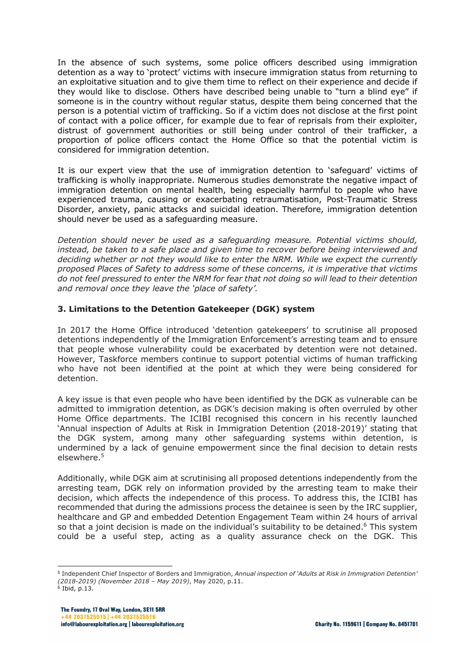In the absence of such systems, some police officers described using immigration detention as a way to 'protect' victims with insecure immigration status from returning to an exploitative situation and to give them time to reflect on their experience and decide if they would like to disclose. Others have described being unable to "turn a blind eye" if someone is in the country without regular status, despite them being concerned that the person is a potential victim of trafficking. So if a victim does not disclose at the first point of contact with a police officer, for example due to fear of reprisals from their exploiter, distrust of government authorities or still being under control of their trafficker, a proportion of police officers contact the Home Office so that the potential victim is considered for immigration detention.

It is our expert view that the use of immigration detention to 'safeguard' victims of trafficking is wholly inappropriate. Numerous studies demonstrate the negative impact of immigration detention on mental health, being especially harmful to people who have experienced trauma, causing or exacerbating retraumatisation, Post-Traumatic Stress Disorder, anxiety, panic attacks and suicidal ideation. Therefore, immigration detention should never be used as a safeguarding measure.

*Detention should never be used as a safeguarding measure. Potential victims should, instead, be taken to a safe place and given time to recover before being interviewed and deciding whether or not they would like to enter the NRM. While we expect the currently proposed Places of Safety to address some of these concerns, it is imperative that victims do not feel pressured to enter the NRM for fear that not doing so will lead to their detention and removal once they leave the 'place of safety'.*

## **3. Limitations to the Detention Gatekeeper (DGK) system**

In 2017 the Home Office introduced 'detention gatekeepers' to scrutinise all proposed detentions independently of the Immigration Enforcement's arresting team and to ensure that people whose vulnerability could be exacerbated by detention were not detained. However, Taskforce members continue to support potential victims of human trafficking who have not been identified at the point at which they were being considered for detention.

A key issue is that even people who have been identified by the DGK as vulnerable can be admitted to immigration detention, as DGK's decision making is often overruled by other Home Office departments. The ICIBI recognised this concern in his recently launched 'Annual inspection of Adults at Risk in Immigration Detention (2018-2019)' stating that the DGK system, among many other safeguarding systems within detention, is undermined by a lack of genuine empowerment since the final decision to detain rests elsewhere.5

Additionally, while DGK aim at scrutinising all proposed detentions independently from the arresting team, DGK rely on information provided by the arresting team to make their decision, which affects the independence of this process. To address this, the ICIBI has recommended that during the admissions process the detainee is seen by the IRC supplier, healthcare and GP and embedded Detention Engagement Team within 24 hours of arrival so that a joint decision is made on the individual's suitability to be detained.<sup>6</sup> This system could be a useful step, acting as a quality assurance check on the DGK. This

<sup>5</sup> Independent Chief Inspector of Borders and Immigration, *Annual inspection of 'Adults at Risk in Immigration Detention' (2018-2019) (November 2018 – May 2019)*, May 2020, p.11.  $6$  Ibid, p.13.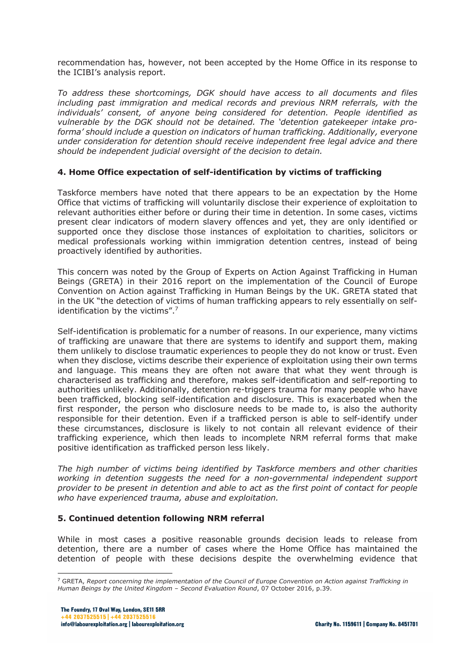recommendation has, however, not been accepted by the Home Office in its response to the ICIBI's analysis report.

*To address these shortcomings, DGK should have access to all documents and files including past immigration and medical records and previous NRM referrals, with the individuals' consent, of anyone being considered for detention. People identified as vulnerable by the DGK should not be detained. The 'detention gatekeeper intake proforma' should include a question on indicators of human trafficking. Additionally, everyone under consideration for detention should receive independent free legal advice and there should be independent judicial oversight of the decision to detain.* 

## **4. Home Office expectation of self-identification by victims of trafficking**

Taskforce members have noted that there appears to be an expectation by the Home Office that victims of trafficking will voluntarily disclose their experience of exploitation to relevant authorities either before or during their time in detention. In some cases, victims present clear indicators of modern slavery offences and yet, they are only identified or supported once they disclose those instances of exploitation to charities, solicitors or medical professionals working within immigration detention centres, instead of being proactively identified by authorities.

This concern was noted by the Group of Experts on Action Against Trafficking in Human Beings (GRETA) in their 2016 report on the implementation of the Council of Europe Convention on Action against Trafficking in Human Beings by the UK. GRETA stated that in the UK "the detection of victims of human trafficking appears to rely essentially on selfidentification by the victims".<sup>7</sup>

Self-identification is problematic for a number of reasons. In our experience, many victims of trafficking are unaware that there are systems to identify and support them, making them unlikely to disclose traumatic experiences to people they do not know or trust. Even when they disclose, victims describe their experience of exploitation using their own terms and language. This means they are often not aware that what they went through is characterised as trafficking and therefore, makes self-identification and self-reporting to authorities unlikely. Additionally, detention re-triggers trauma for many people who have been trafficked, blocking self-identification and disclosure. This is exacerbated when the first responder, the person who disclosure needs to be made to, is also the authority responsible for their detention. Even if a trafficked person is able to self-identify under these circumstances, disclosure is likely to not contain all relevant evidence of their trafficking experience, which then leads to incomplete NRM referral forms that make positive identification as trafficked person less likely.

*The high number of victims being identified by Taskforce members and other charities working in detention suggests the need for a non-governmental independent support provider to be present in detention and able to act as the first point of contact for people who have experienced trauma, abuse and exploitation.* 

#### **5. Continued detention following NRM referral**

While in most cases a positive reasonable grounds decision leads to release from detention, there are a number of cases where the Home Office has maintained the detention of people with these decisions despite the overwhelming evidence that

<sup>7</sup> GRETA, *Report concerning the implementation of the Council of Europe Convention on Action against Trafficking in Human Beings by the United Kingdom – Second Evaluation Round*, 07 October 2016, p.39.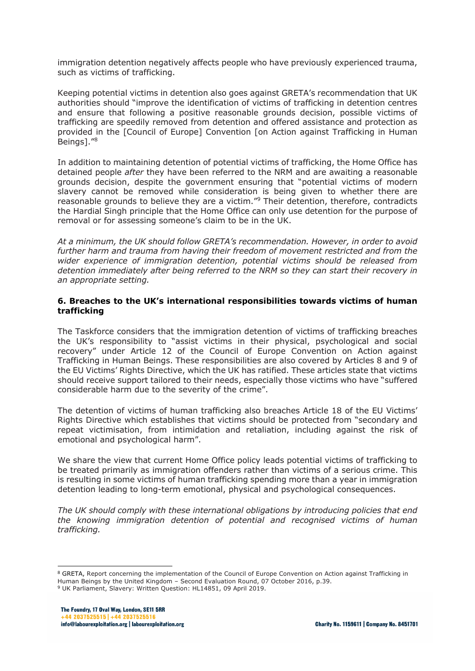immigration detention negatively affects people who have previously experienced trauma, such as victims of trafficking.

Keeping potential victims in detention also goes against GRETA's recommendation that UK authorities should "improve the identification of victims of trafficking in detention centres and ensure that following a positive reasonable grounds decision, possible victims of trafficking are speedily removed from detention and offered assistance and protection as provided in the [Council of Europe] Convention [on Action against Trafficking in Human Beings]."8

In addition to maintaining detention of potential victims of trafficking, the Home Office has detained people *after* they have been referred to the NRM and are awaiting a reasonable grounds decision, despite the government ensuring that "potential victims of modern slavery cannot be removed while consideration is being given to whether there are reasonable grounds to believe they are a victim."9 Their detention, therefore, contradicts the Hardial Singh principle that the Home Office can only use detention for the purpose of removal or for assessing someone's claim to be in the UK.

*At a minimum, the UK should follow GRETA's recommendation. However, in order to avoid further harm and trauma from having their freedom of movement restricted and from the wider experience of immigration detention, potential victims should be released from detention immediately after being referred to the NRM so they can start their recovery in an appropriate setting.*

### **6. Breaches to the UK's international responsibilities towards victims of human trafficking**

The Taskforce considers that the immigration detention of victims of trafficking breaches the UK's responsibility to "assist victims in their physical, psychological and social recovery" under Article 12 of the Council of Europe Convention on Action against Trafficking in Human Beings. These responsibilities are also covered by Articles 8 and 9 of the EU Victims' Rights Directive, which the UK has ratified. These articles state that victims should receive support tailored to their needs, especially those victims who have "suffered considerable harm due to the severity of the crime".

The detention of victims of human trafficking also breaches Article 18 of the EU Victims' Rights Directive which establishes that victims should be protected from "secondary and repeat victimisation, from intimidation and retaliation, including against the risk of emotional and psychological harm".

We share the view that current Home Office policy leads potential victims of trafficking to be treated primarily as immigration offenders rather than victims of a serious crime. This is resulting in some victims of human trafficking spending more than a year in immigration detention leading to long-term emotional, physical and psychological consequences.

*The UK should comply with these international obligations by introducing policies that end the knowing immigration detention of potential and recognised victims of human trafficking.*

<sup>&</sup>lt;sup>8</sup> GRETA, Report concerning the implementation of the Council of Europe Convention on Action against Trafficking in<br>Human Beings by the United Kingdom - Second Evaluation Round, 07 October 2016, p.39.

<sup>&</sup>lt;sup>9</sup> UK Parliament, Slavery: Written Question: HL14851, 09 April 2019.